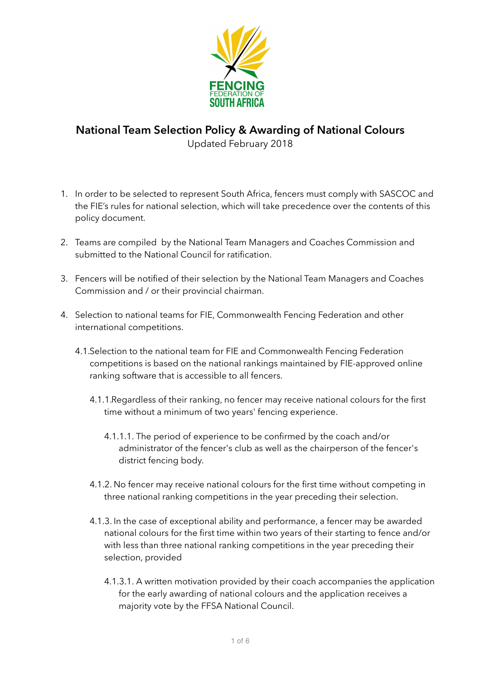

## **National Team Selection Policy & Awarding of National Colours**  Updated February 2018

- 1. In order to be selected to represent South Africa, fencers must comply with SASCOC and the FIE's rules for national selection, which will take precedence over the contents of this policy document.
- 2. Teams are compiled by the National Team Managers and Coaches Commission and submitted to the National Council for ratification.
- 3. Fencers will be notified of their selection by the National Team Managers and Coaches Commission and / or their provincial chairman.
- 4. Selection to national teams for FIE, Commonwealth Fencing Federation and other international competitions.
	- 4.1.Selection to the national team for FIE and Commonwealth Fencing Federation competitions is based on the national rankings maintained by FIE-approved online ranking software that is accessible to all fencers.
		- 4.1.1.Regardless of their ranking, no fencer may receive national colours for the first time without a minimum of two years' fencing experience.
			- 4.1.1.1. The period of experience to be confirmed by the coach and/or administrator of the fencer's club as well as the chairperson of the fencer's district fencing body.
		- 4.1.2. No fencer may receive national colours for the first time without competing in three national ranking competitions in the year preceding their selection.
		- 4.1.3. In the case of exceptional ability and performance, a fencer may be awarded national colours for the first time within two years of their starting to fence and/or with less than three national ranking competitions in the year preceding their selection, provided
			- 4.1.3.1. A written motivation provided by their coach accompanies the application for the early awarding of national colours and the application receives a majority vote by the FFSA National Council.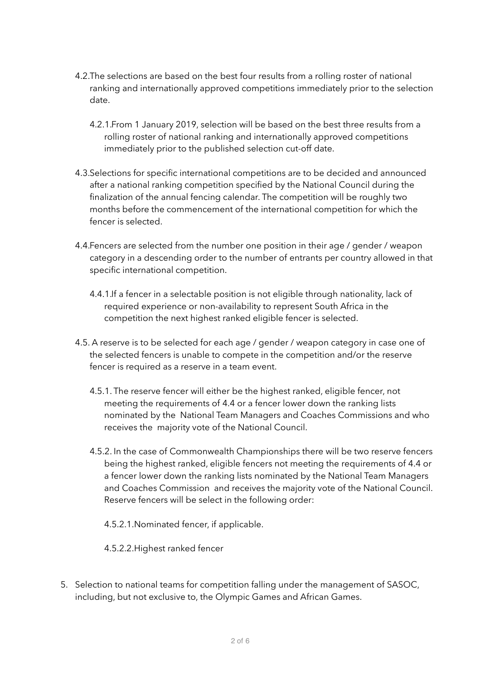- 4.2.The selections are based on the best four results from a rolling roster of national ranking and internationally approved competitions immediately prior to the selection date.
	- 4.2.1.From 1 January 2019, selection will be based on the best three results from a rolling roster of national ranking and internationally approved competitions immediately prior to the published selection cut-off date.
- 4.3.Selections for specific international competitions are to be decided and announced after a national ranking competition specified by the National Council during the finalization of the annual fencing calendar. The competition will be roughly two months before the commencement of the international competition for which the fencer is selected.
- 4.4.Fencers are selected from the number one position in their age / gender / weapon category in a descending order to the number of entrants per country allowed in that specific international competition.
	- 4.4.1.If a fencer in a selectable position is not eligible through nationality, lack of required experience or non-availability to represent South Africa in the competition the next highest ranked eligible fencer is selected.
- 4.5. A reserve is to be selected for each age / gender / weapon category in case one of the selected fencers is unable to compete in the competition and/or the reserve fencer is required as a reserve in a team event.
	- 4.5.1. The reserve fencer will either be the highest ranked, eligible fencer, not meeting the requirements of 4.4 or a fencer lower down the ranking lists nominated by the National Team Managers and Coaches Commissions and who receives the majority vote of the National Council.
	- 4.5.2. In the case of Commonwealth Championships there will be two reserve fencers being the highest ranked, eligible fencers not meeting the requirements of 4.4 or a fencer lower down the ranking lists nominated by the National Team Managers and Coaches Commission and receives the majority vote of the National Council. Reserve fencers will be select in the following order:
		- 4.5.2.1.Nominated fencer, if applicable.
		- 4.5.2.2.Highest ranked fencer
- 5. Selection to national teams for competition falling under the management of SASOC, including, but not exclusive to, the Olympic Games and African Games.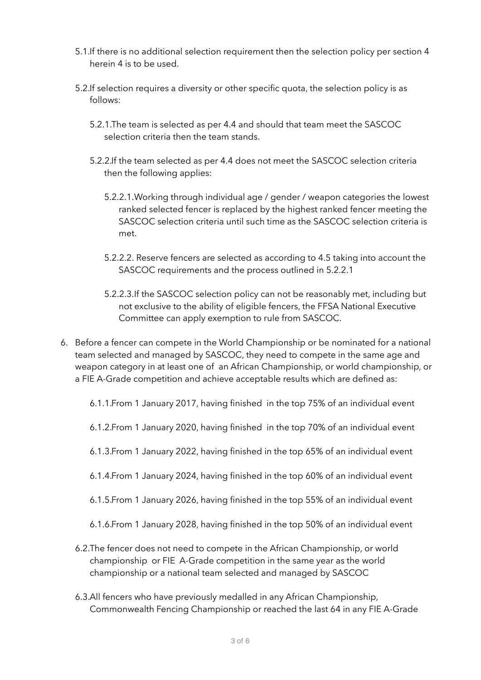- 5.1.If there is no additional selection requirement then the selection policy per section 4 herein 4 is to be used.
- 5.2.If selection requires a diversity or other specific quota, the selection policy is as follows:
	- 5.2.1.The team is selected as per 4.4 and should that team meet the SASCOC selection criteria then the team stands.
	- 5.2.2.If the team selected as per 4.4 does not meet the SASCOC selection criteria then the following applies:
		- 5.2.2.1.Working through individual age / gender / weapon categories the lowest ranked selected fencer is replaced by the highest ranked fencer meeting the SASCOC selection criteria until such time as the SASCOC selection criteria is met.
		- 5.2.2.2. Reserve fencers are selected as according to 4.5 taking into account the SASCOC requirements and the process outlined in 5.2.2.1
		- 5.2.2.3.If the SASCOC selection policy can not be reasonably met, including but not exclusive to the ability of eligible fencers, the FFSA National Executive Committee can apply exemption to rule from SASCOC.
- 6. Before a fencer can compete in the World Championship or be nominated for a national team selected and managed by SASCOC, they need to compete in the same age and weapon category in at least one of an African Championship, or world championship, or a FIE A-Grade competition and achieve acceptable results which are defined as:
	- 6.1.1.From 1 January 2017, having finished in the top 75% of an individual event
	- 6.1.2.From 1 January 2020, having finished in the top 70% of an individual event
	- 6.1.3.From 1 January 2022, having finished in the top 65% of an individual event
	- 6.1.4.From 1 January 2024, having finished in the top 60% of an individual event
	- 6.1.5.From 1 January 2026, having finished in the top 55% of an individual event
	- 6.1.6.From 1 January 2028, having finished in the top 50% of an individual event
	- 6.2.The fencer does not need to compete in the African Championship, or world championship or FIE A-Grade competition in the same year as the world championship or a national team selected and managed by SASCOC
	- 6.3.All fencers who have previously medalled in any African Championship, Commonwealth Fencing Championship or reached the last 64 in any FIE A-Grade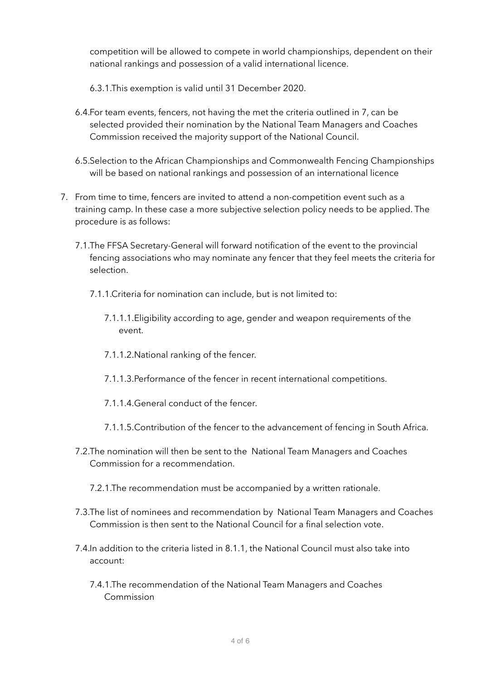competition will be allowed to compete in world championships, dependent on their national rankings and possession of a valid international licence.

6.3.1.This exemption is valid until 31 December 2020.

- 6.4.For team events, fencers, not having the met the criteria outlined in 7, can be selected provided their nomination by the National Team Managers and Coaches Commission received the majority support of the National Council.
- 6.5.Selection to the African Championships and Commonwealth Fencing Championships will be based on national rankings and possession of an international licence
- 7. From time to time, fencers are invited to attend a non-competition event such as a training camp. In these case a more subjective selection policy needs to be applied. The procedure is as follows:
	- 7.1.The FFSA Secretary-General will forward notification of the event to the provincial fencing associations who may nominate any fencer that they feel meets the criteria for selection.
		- 7.1.1.Criteria for nomination can include, but is not limited to:
			- 7.1.1.1.Eligibility according to age, gender and weapon requirements of the event.
			- 7.1.1.2.National ranking of the fencer.
			- 7.1.1.3.Performance of the fencer in recent international competitions.
			- 7.1.1.4.General conduct of the fencer.
			- 7.1.1.5.Contribution of the fencer to the advancement of fencing in South Africa.
	- 7.2.The nomination will then be sent to the National Team Managers and Coaches Commission for a recommendation.
		- 7.2.1.The recommendation must be accompanied by a written rationale.
	- 7.3.The list of nominees and recommendation by National Team Managers and Coaches Commission is then sent to the National Council for a final selection vote.
	- 7.4.In addition to the criteria listed in 8.1.1, the National Council must also take into account:
		- 7.4.1.The recommendation of the National Team Managers and Coaches Commission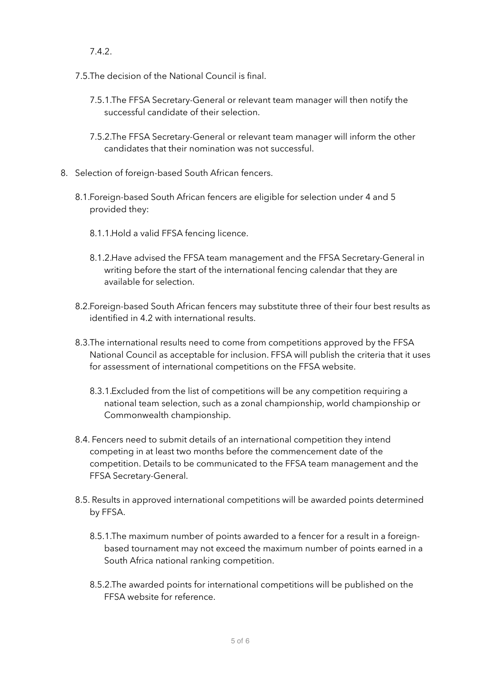7.4.2.

- 7.5.The decision of the National Council is final.
	- 7.5.1.The FFSA Secretary-General or relevant team manager will then notify the successful candidate of their selection.
	- 7.5.2.The FFSA Secretary-General or relevant team manager will inform the other candidates that their nomination was not successful.
- 8. Selection of foreign-based South African fencers.
	- 8.1.Foreign-based South African fencers are eligible for selection under 4 and 5 provided they:
		- 8.1.1.Hold a valid FFSA fencing licence.
		- 8.1.2.Have advised the FFSA team management and the FFSA Secretary-General in writing before the start of the international fencing calendar that they are available for selection.
	- 8.2.Foreign-based South African fencers may substitute three of their four best results as identified in 4.2 with international results.
	- 8.3.The international results need to come from competitions approved by the FFSA National Council as acceptable for inclusion. FFSA will publish the criteria that it uses for assessment of international competitions on the FFSA website.
		- 8.3.1.Excluded from the list of competitions will be any competition requiring a national team selection, such as a zonal championship, world championship or Commonwealth championship.
	- 8.4. Fencers need to submit details of an international competition they intend competing in at least two months before the commencement date of the competition. Details to be communicated to the FFSA team management and the FFSA Secretary-General.
	- 8.5. Results in approved international competitions will be awarded points determined by FFSA.
		- 8.5.1.The maximum number of points awarded to a fencer for a result in a foreignbased tournament may not exceed the maximum number of points earned in a South Africa national ranking competition.
		- 8.5.2.The awarded points for international competitions will be published on the FFSA website for reference.